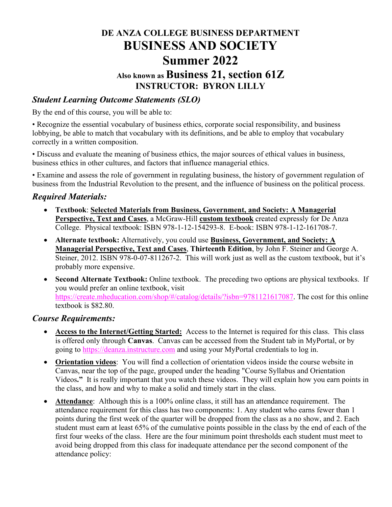# **DE ANZA COLLEGE BUSINESS DEPARTMENT BUSINESS AND SOCIETY Summer 2022 Also known as Business 21, section 61Z INSTRUCTOR: BYRON LILLY**

#### *Student Learning Outcome Statements (SLO)*

By the end of this course, you will be able to:

• Recognize the essential vocabulary of business ethics, corporate social responsibility, and business lobbying, be able to match that vocabulary with its definitions, and be able to employ that vocabulary correctly in a written composition.

• Discuss and evaluate the meaning of business ethics, the major sources of ethical values in business, business ethics in other cultures, and factors that influence managerial ethics.

• Examine and assess the role of government in regulating business, the history of government regulation of business from the Industrial Revolution to the present, and the influence of business on the political process.

#### *Required Materials:*

- **Textbook**: **Selected Materials from Business, Government, and Society: A Managerial Perspective, Text and Cases**, a McGraw-Hill **custom textbook** created expressly for De Anza College. Physical textbook: ISBN 978-1-12-154293-8. E-book: ISBN 978-1-12-161708-7.
- **Alternate textbook:** Alternatively, you could use **Business, Government, and Society: A Managerial Perspective, Text and Cases**, **Thirteenth Edition**, by John F. Steiner and George A. Steiner, 2012. ISBN 978-0-07-811267-2. This will work just as well as the custom textbook, but it's probably more expensive.
- **Second Alternate Textbook:** Online textbook. The preceding two options are physical textbooks. If you would prefer an online textbook, visit [https://create.mheducation.com/shop/#/catalog/details/?isbn=9781121617087.](https://create.mheducation.com/shop/#/catalog/details/?isbn=9781121617087) The cost for this online textbook is \$82.80.

#### *Course Requirements:*

- **Access to the Internet/Getting Started:** Access to the Internet is required for this class. This class is offered only through **Canvas**. Canvas can be accessed from the Student tab in MyPortal, or by going to [https://deanza.instructure.com](https://deanza.instructure.com/) and using your MyPortal credentials to log in.
- **Orientation videos**: You will find a collection of orientation videos inside the course website in Canvas, near the top of the page, grouped under the heading "Course Syllabus and Orientation Videos**."** It is really important that you watch these videos. They will explain how you earn points in the class, and how and why to make a solid and timely start in the class.
- **Attendance**: Although this is a 100% online class, it still has an attendance requirement. The attendance requirement for this class has two components: 1. Any student who earns fewer than 1 points during the first week of the quarter will be dropped from the class as a no show, and 2. Each student must earn at least 65% of the cumulative points possible in the class by the end of each of the first four weeks of the class. Here are the four minimum point thresholds each student must meet to avoid being dropped from this class for inadequate attendance per the second component of the attendance policy: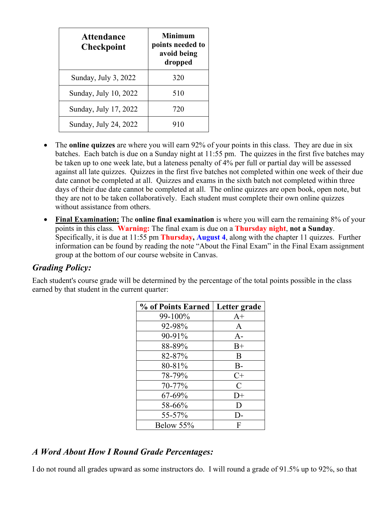| <b>Attendance</b><br><b>Checkpoint</b> | <b>Minimum</b><br>points needed to<br>avoid being<br>dropped |
|----------------------------------------|--------------------------------------------------------------|
| Sunday, July 3, 2022                   | 320                                                          |
| Sunday, July 10, 2022                  | 510                                                          |
| Sunday, July 17, 2022                  | 720                                                          |
| Sunday, July 24, 2022                  | 910                                                          |

- The **online quizzes** are where you will earn 92% of your points in this class. They are due in six batches. Each batch is due on a Sunday night at 11:55 pm. The quizzes in the first five batches may be taken up to one week late, but a lateness penalty of 4% per full or partial day will be assessed against all late quizzes. Quizzes in the first five batches not completed within one week of their due date cannot be completed at all. Quizzes and exams in the sixth batch not completed within three days of their due date cannot be completed at all. The online quizzes are open book, open note, but they are not to be taken collaboratively. Each student must complete their own online quizzes without assistance from others.
- **Final Examination:** The **online final examination** is where you will earn the remaining 8% of your points in this class. **Warning:** The final exam is due on a **Thursday night**, **not a Sunday**. Specifically, it is due at 11:55 pm **Thursday, August 4**, along with the chapter 11 quizzes. Further information can be found by reading the note "About the Final Exam" in the Final Exam assignment group at the bottom of our course website in Canvas.

#### *Grading Policy:*

Each student's course grade will be determined by the percentage of the total points possible in the class earned by that student in the current quarter:

| % of Points Earned | Letter grade  |
|--------------------|---------------|
| 99-100%            | $A+$          |
| 92-98%             | A             |
| 90-91%             | $A-$          |
| 88-89%             | $B+$          |
| 82-87%             | B             |
| 80-81%             | $B-$          |
| 78-79%             | $C+$          |
| 70-77%             | $\mathcal{C}$ |
| 67-69%             | $D+$          |
| 58-66%             | D             |
| 55-57%             | D-            |
| Below 55%          | F             |

### *A Word About How I Round Grade Percentages:*

I do not round all grades upward as some instructors do. I will round a grade of 91.5% up to 92%, so that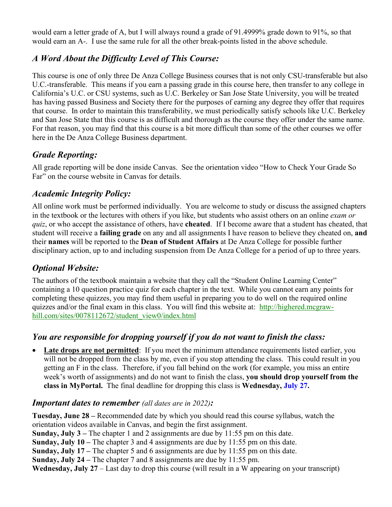would earn a letter grade of A, but I will always round a grade of 91.4999% grade down to 91%, so that would earn an A-. I use the same rule for all the other break-points listed in the above schedule.

# *A Word About the Difficulty Level of This Course:*

This course is one of only three De Anza College Business courses that is not only CSU-transferable but also U.C.-transferable. This means if you earn a passing grade in this course here, then transfer to any college in California's U.C. or CSU systems, such as U.C. Berkeley or San Jose State University, you will be treated has having passed Business and Society there for the purposes of earning any degree they offer that requires that course. In order to maintain this transferability, we must periodically satisfy schools like U.C. Berkeley and San Jose State that this course is as difficult and thorough as the course they offer under the same name. For that reason, you may find that this course is a bit more difficult than some of the other courses we offer here in the De Anza College Business department.

# *Grade Reporting:*

All grade reporting will be done inside Canvas. See the orientation video "How to Check Your Grade So Far" on the course website in Canvas for details.

## *Academic Integrity Policy:*

All online work must be performed individually. You are welcome to study or discuss the assigned chapters in the textbook or the lectures with others if you like, but students who assist others on an online *exam or quiz*, or who accept the assistance of others, have **cheated**. If I become aware that a student has cheated, that student will receive a **failing grade** on any and all assignments I have reason to believe they cheated on, **and** their **names** will be reported to the **Dean of Student Affairs** at De Anza College for possible further disciplinary action, up to and including suspension from De Anza College for a period of up to three years.

# *Optional Website:*

The authors of the textbook maintain a website that they call the "Student Online Learning Center" containing a 10 question practice quiz for each chapter in the text. While you cannot earn any points for completing these quizzes, you may find them useful in preparing you to do well on the required online quizzes and/or the final exam in this class. You will find this website at: http://highered.mcgrawhill.com/sites/0078112672/student\_view0/index.html

# *You are responsible for dropping yourself if you do not want to finish the class:*

**Late drops are not permitted**: If you meet the minimum attendance requirements listed earlier, you will not be dropped from the class by me, even if you stop attending the class. This could result in you getting an F in the class. Therefore, if you fall behind on the work (for example, you miss an entire week's worth of assignments) and do not want to finish the class, **you should drop yourself from the class in MyPortal.** The final deadline for dropping this class is **Wednesday, July 27.**

### *Important dates to remember (all dates are in 2022):*

**Tuesday, June 28 –** Recommended date by which you should read this course syllabus, watch the orientation videos available in Canvas, and begin the first assignment. **Sunday, July 3 –** The chapter 1 and 2 assignments are due by 11:55 pm on this date. **Sunday, July 10 –** The chapter 3 and 4 assignments are due by 11:55 pm on this date.

**Sunday, July 17 –** The chapter 5 and 6 assignments are due by 11:55 pm on this date.

**Sunday, July 24 –** The chapter 7 and 8 assignments are due by 11:55 pm.

**Wednesday, July 27** – Last day to drop this course (will result in a W appearing on your transcript)